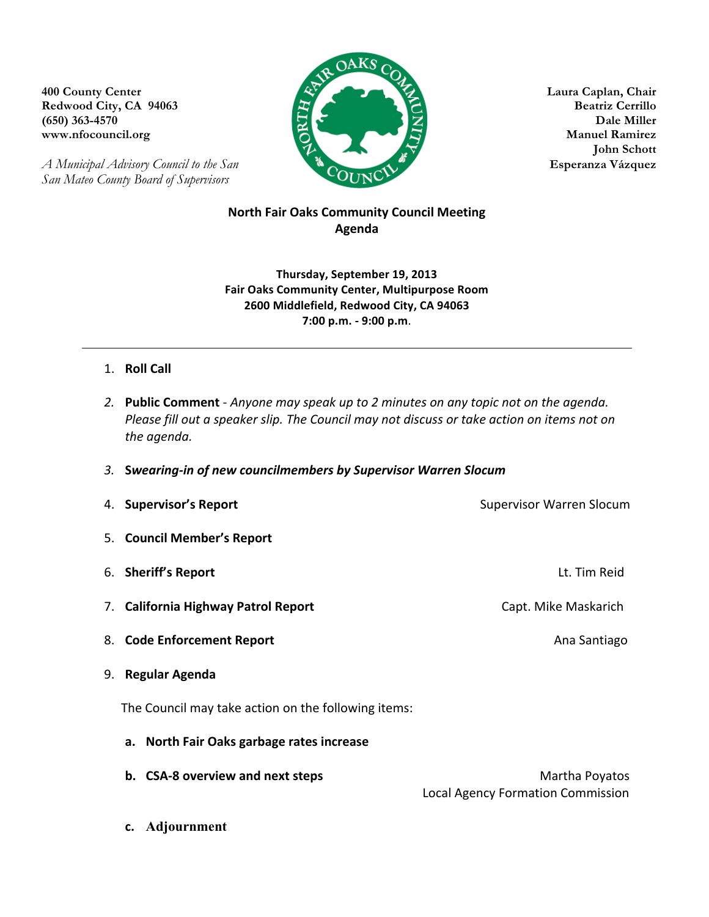**Redwood City, CA 94063** 



**John Schott**

*A Municipal Advisory Council to the San* **Esperanza Vázquez** *San Mateo County Board of Supervisors*

## **North Fair Oaks Community Council Meeting Agenda**

**Thursday, September 19, 2013 Fair Oaks Community Center, Multipurpose Room 2600 Middlefield, Redwood City, CA 94063 7:00 p.m. - 9:00 p.m**.

## 1. **Roll Call**

- 2. **Public Comment** Anyone may speak up to 2 minutes on any topic not on the agenda. *Please fill out a speaker slip. The Council may not discuss or take action on items not on the agenda.*
- *3.* **S***wearing-in of new councilmembers by Supervisor Warren Slocum*

| 4. Supervisor's Report                              | <b>Supervisor Warren Slocum</b> |
|-----------------------------------------------------|---------------------------------|
| 5. Council Member's Report                          |                                 |
| 6. Sheriff's Report                                 | Lt. Tim Reid                    |
| 7. California Highway Patrol Report                 | Capt. Mike Maskarich            |
| 8. Code Enforcement Report                          | Ana Santiago                    |
| <b>Regular Agenda</b><br>9.                         |                                 |
| The Council may take action on the following items: |                                 |
| a. North Fair Oaks garbage rates increase           |                                 |
| b. CSA-8 overview and next steps                    | Martha Poyatos                  |

Local Agency Formation Commission

**c. Adjournment**